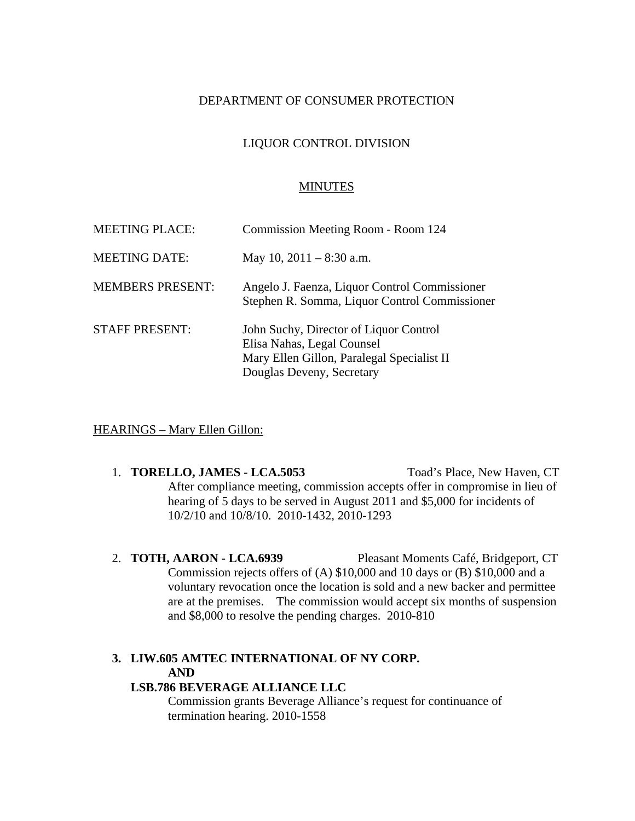#### DEPARTMENT OF CONSUMER PROTECTION

### LIQUOR CONTROL DIVISION

#### MINUTES

| <b>MEETING PLACE:</b>   | Commission Meeting Room - Room 124                                                                                                              |
|-------------------------|-------------------------------------------------------------------------------------------------------------------------------------------------|
| <b>MEETING DATE:</b>    | May 10, $2011 - 8:30$ a.m.                                                                                                                      |
| <b>MEMBERS PRESENT:</b> | Angelo J. Faenza, Liquor Control Commissioner<br>Stephen R. Somma, Liquor Control Commissioner                                                  |
| <b>STAFF PRESENT:</b>   | John Suchy, Director of Liquor Control<br>Elisa Nahas, Legal Counsel<br>Mary Ellen Gillon, Paralegal Specialist II<br>Douglas Deveny, Secretary |

#### HEARINGS – Mary Ellen Gillon:

- 1. **TORELLO, JAMES LCA.5053** Toad's Place, New Haven, CT After compliance meeting, commission accepts offer in compromise in lieu of hearing of 5 days to be served in August 2011 and \$5,000 for incidents of 10/2/10 and 10/8/10. 2010-1432, 2010-1293
- 2. **TOTH, AARON LCA.6939** Pleasant Moments Café, Bridgeport, CT Commission rejects offers of (A) \$10,000 and 10 days or (B) \$10,000 and a voluntary revocation once the location is sold and a new backer and permittee are at the premises. The commission would accept six months of suspension and \$8,000 to resolve the pending charges. 2010-810

# **3. LIW.605 AMTEC INTERNATIONAL OF NY CORP. AND**

# **LSB.786 BEVERAGE ALLIANCE LLC**

Commission grants Beverage Alliance's request for continuance of termination hearing. 2010-1558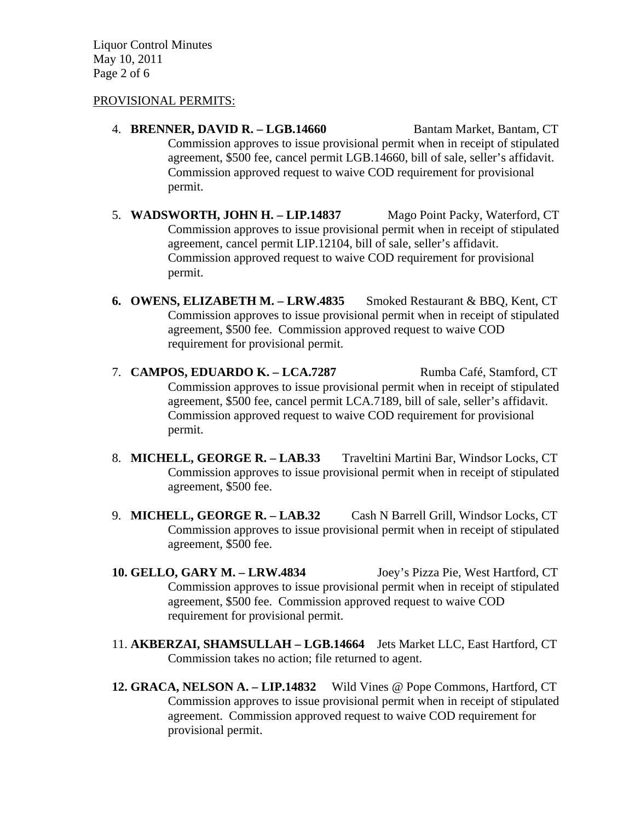Liquor Control Minutes May 10, 2011 Page 2 of 6

#### PROVISIONAL PERMITS:

- 4. **BRENNER, DAVID R. LGB.14660** Bantam Market, Bantam, CT Commission approves to issue provisional permit when in receipt of stipulated agreement, \$500 fee, cancel permit LGB.14660, bill of sale, seller's affidavit. Commission approved request to waive COD requirement for provisional permit.
- 5. **WADSWORTH, JOHN H. LIP.14837** Mago Point Packy, Waterford, CT Commission approves to issue provisional permit when in receipt of stipulated agreement, cancel permit LIP.12104, bill of sale, seller's affidavit. Commission approved request to waive COD requirement for provisional permit.
- **6. OWENS, ELIZABETH M. LRW.4835** Smoked Restaurant & BBQ, Kent, CT Commission approves to issue provisional permit when in receipt of stipulated agreement, \$500 fee. Commission approved request to waive COD requirement for provisional permit.
- 7. **CAMPOS, EDUARDO K. LCA.7287** Rumba Café, Stamford, CT Commission approves to issue provisional permit when in receipt of stipulated agreement, \$500 fee, cancel permit LCA.7189, bill of sale, seller's affidavit. Commission approved request to waive COD requirement for provisional permit.
- 8. **MICHELL, GEORGE R. LAB.33** Traveltini Martini Bar, Windsor Locks, CT Commission approves to issue provisional permit when in receipt of stipulated agreement, \$500 fee.
- 9. **MICHELL, GEORGE R. LAB.32** Cash N Barrell Grill, Windsor Locks, CT Commission approves to issue provisional permit when in receipt of stipulated agreement, \$500 fee.
- **10. GELLO, GARY M. LRW.4834** Joey's Pizza Pie, West Hartford, CT Commission approves to issue provisional permit when in receipt of stipulated agreement, \$500 fee. Commission approved request to waive COD requirement for provisional permit.
- 11. **AKBERZAI, SHAMSULLAH LGB.14664** Jets Market LLC, East Hartford, CT Commission takes no action; file returned to agent.
- **12. GRACA, NELSON A. LIP.14832** Wild Vines @ Pope Commons, Hartford, CT Commission approves to issue provisional permit when in receipt of stipulated agreement. Commission approved request to waive COD requirement for provisional permit.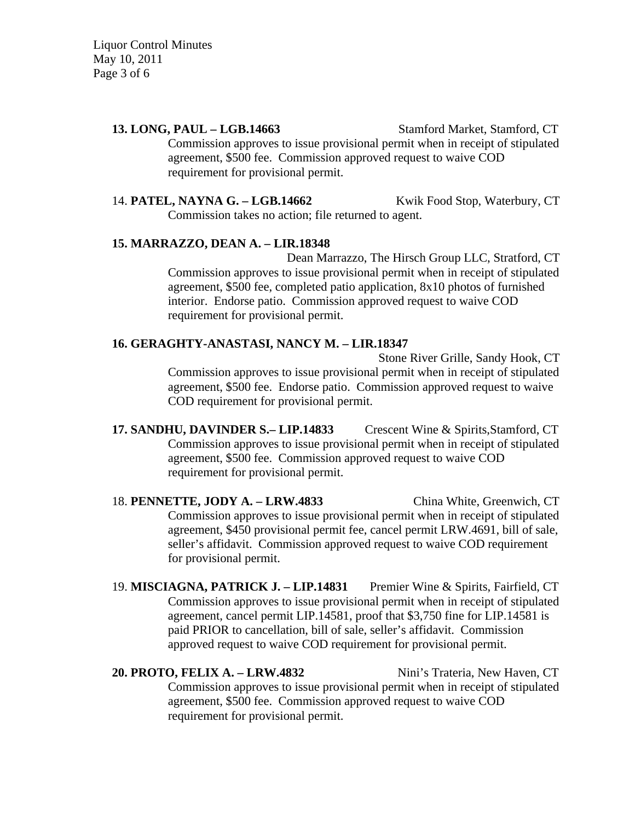Liquor Control Minutes May 10, 2011 Page 3 of 6

> **13. LONG, PAUL – LGB.14663** Stamford Market, Stamford, CT Commission approves to issue provisional permit when in receipt of stipulated agreement, \$500 fee. Commission approved request to waive COD requirement for provisional permit.

> 14. **PATEL, NAYNA G. – LGB.14662** Kwik Food Stop, Waterbury, CT Commission takes no action; file returned to agent.

#### **15. MARRAZZO, DEAN A. – LIR.18348**

Dean Marrazzo, The Hirsch Group LLC, Stratford, CT Commission approves to issue provisional permit when in receipt of stipulated agreement, \$500 fee, completed patio application, 8x10 photos of furnished interior. Endorse patio. Commission approved request to waive COD requirement for provisional permit.

#### **16. GERAGHTY-ANASTASI, NANCY M. – LIR.18347**

Stone River Grille, Sandy Hook, CT Commission approves to issue provisional permit when in receipt of stipulated agreement, \$500 fee. Endorse patio. Commission approved request to waive COD requirement for provisional permit.

**17. SANDHU, DAVINDER S.– LIP.14833** Crescent Wine & Spirits,Stamford, CT Commission approves to issue provisional permit when in receipt of stipulated agreement, \$500 fee. Commission approved request to waive COD requirement for provisional permit.

18. **PENNETTE, JODY A. – LRW.4833** China White, Greenwich, CT Commission approves to issue provisional permit when in receipt of stipulated agreement, \$450 provisional permit fee, cancel permit LRW.4691, bill of sale, seller's affidavit. Commission approved request to waive COD requirement for provisional permit.

19. **MISCIAGNA, PATRICK J. – LIP.14831** Premier Wine & Spirits, Fairfield, CT Commission approves to issue provisional permit when in receipt of stipulated agreement, cancel permit LIP.14581, proof that \$3,750 fine for LIP.14581 is paid PRIOR to cancellation, bill of sale, seller's affidavit. Commission approved request to waive COD requirement for provisional permit.

# 20. **PROTO, FELIX A. – LRW.4832** Nini's Trateria, New Haven, CT Commission approves to issue provisional permit when in receipt of stipulated agreement, \$500 fee. Commission approved request to waive COD requirement for provisional permit.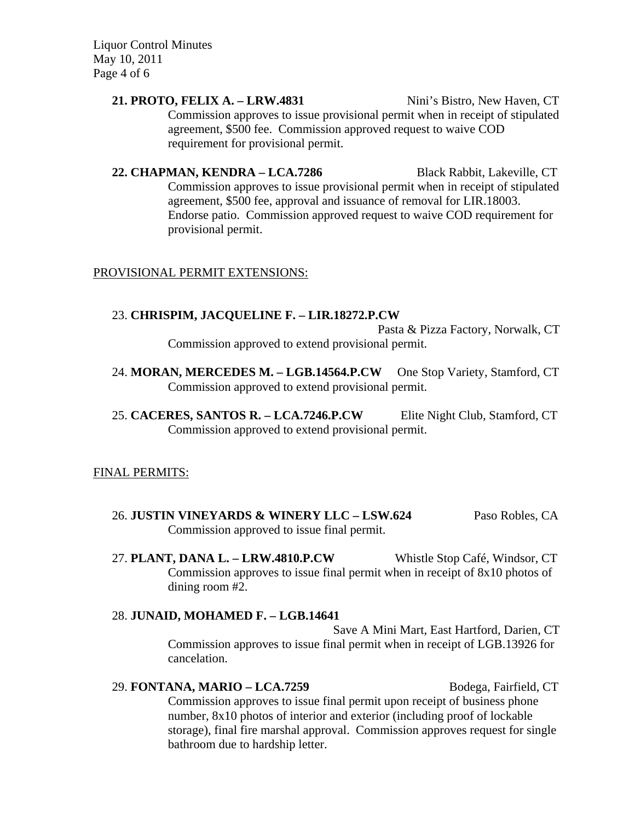Liquor Control Minutes May 10, 2011 Page 4 of 6

> **21. PROTO, FELIX A. – LRW.4831** Nini's Bistro, New Haven, CT Commission approves to issue provisional permit when in receipt of stipulated agreement, \$500 fee. Commission approved request to waive COD requirement for provisional permit.

> **22. CHAPMAN, KENDRA – LCA.7286** Black Rabbit, Lakeville, CT Commission approves to issue provisional permit when in receipt of stipulated agreement, \$500 fee, approval and issuance of removal for LIR.18003. Endorse patio. Commission approved request to waive COD requirement for provisional permit.

### PROVISIONAL PERMIT EXTENSIONS:

#### 23. **CHRISPIM, JACQUELINE F. – LIR.18272.P.CW**

Pasta & Pizza Factory, Norwalk, CT Commission approved to extend provisional permit.

- 24. **MORAN, MERCEDES M. LGB.14564.P.CW** One Stop Variety, Stamford, CT Commission approved to extend provisional permit.
- 25. **CACERES, SANTOS R. LCA.7246.P.CW** Elite Night Club, Stamford, CT Commission approved to extend provisional permit.

### FINAL PERMITS:

- 26. **JUSTIN VINEYARDS & WINERY LLC LSW.624** Paso Robles, CA Commission approved to issue final permit.
- 27. **PLANT, DANA L. LRW.4810.P.CW** Whistle Stop Café, Windsor, CT Commission approves to issue final permit when in receipt of 8x10 photos of dining room #2.

## 28. **JUNAID, MOHAMED F. – LGB.14641**

Save A Mini Mart, East Hartford, Darien, CT Commission approves to issue final permit when in receipt of LGB.13926 for cancelation.

29. **FONTANA, MARIO – LCA.7259** Bodega, Fairfield, CT Commission approves to issue final permit upon receipt of business phone number, 8x10 photos of interior and exterior (including proof of lockable storage), final fire marshal approval. Commission approves request for single bathroom due to hardship letter.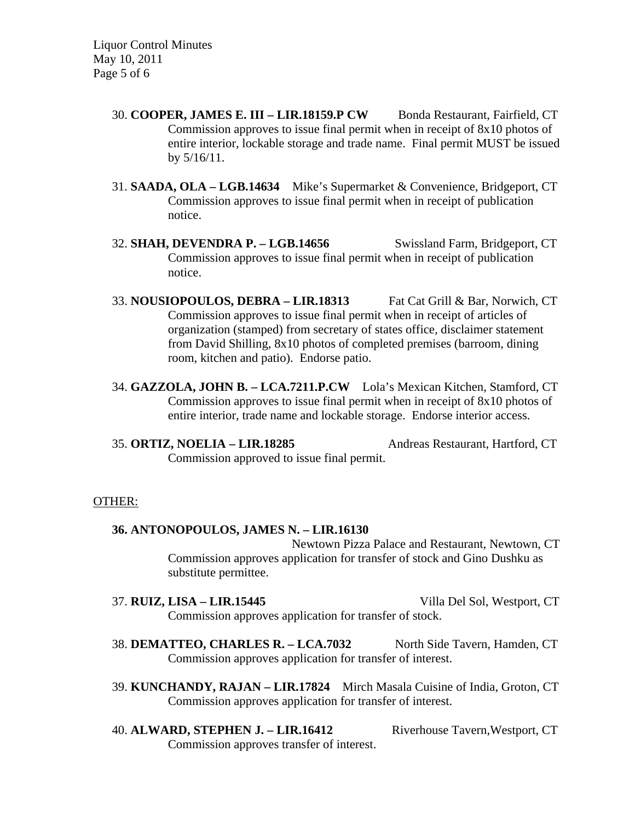Liquor Control Minutes May 10, 2011 Page 5 of 6

- 30. **COOPER, JAMES E. III LIR.18159.P CW** Bonda Restaurant, Fairfield, CT Commission approves to issue final permit when in receipt of 8x10 photos of entire interior, lockable storage and trade name. Final permit MUST be issued by 5/16/11.
- 31. **SAADA, OLA LGB.14634** Mike's Supermarket & Convenience, Bridgeport, CT Commission approves to issue final permit when in receipt of publication notice.
- 32. **SHAH, DEVENDRA P. LGB.14656** Swissland Farm, Bridgeport, CT Commission approves to issue final permit when in receipt of publication notice.
- 33. **NOUSIOPOULOS, DEBRA LIR.18313** Fat Cat Grill & Bar, Norwich, CT Commission approves to issue final permit when in receipt of articles of organization (stamped) from secretary of states office, disclaimer statement from David Shilling, 8x10 photos of completed premises (barroom, dining room, kitchen and patio). Endorse patio.
- 34. **GAZZOLA, JOHN B. LCA.7211.P.CW** Lola's Mexican Kitchen, Stamford, CT Commission approves to issue final permit when in receipt of 8x10 photos of entire interior, trade name and lockable storage. Endorse interior access.
- 35. **ORTIZ, NOELIA LIR.18285** Andreas Restaurant, Hartford, CT Commission approved to issue final permit.

#### OTHER:

### **36. ANTONOPOULOS, JAMES N. – LIR.16130**

Newtown Pizza Palace and Restaurant, Newtown, CT Commission approves application for transfer of stock and Gino Dushku as substitute permittee.

- 37. **RUIZ, LISA LIR.15445** Villa Del Sol, Westport, CT Commission approves application for transfer of stock.
- 38. **DEMATTEO, CHARLES R. LCA.7032** North Side Tavern, Hamden, CT Commission approves application for transfer of interest.
- 39. **KUNCHANDY, RAJAN LIR.17824** Mirch Masala Cuisine of India, Groton, CT Commission approves application for transfer of interest.
- 40. **ALWARD, STEPHEN J. LIR.16412** Riverhouse Tavern,Westport, CT Commission approves transfer of interest.